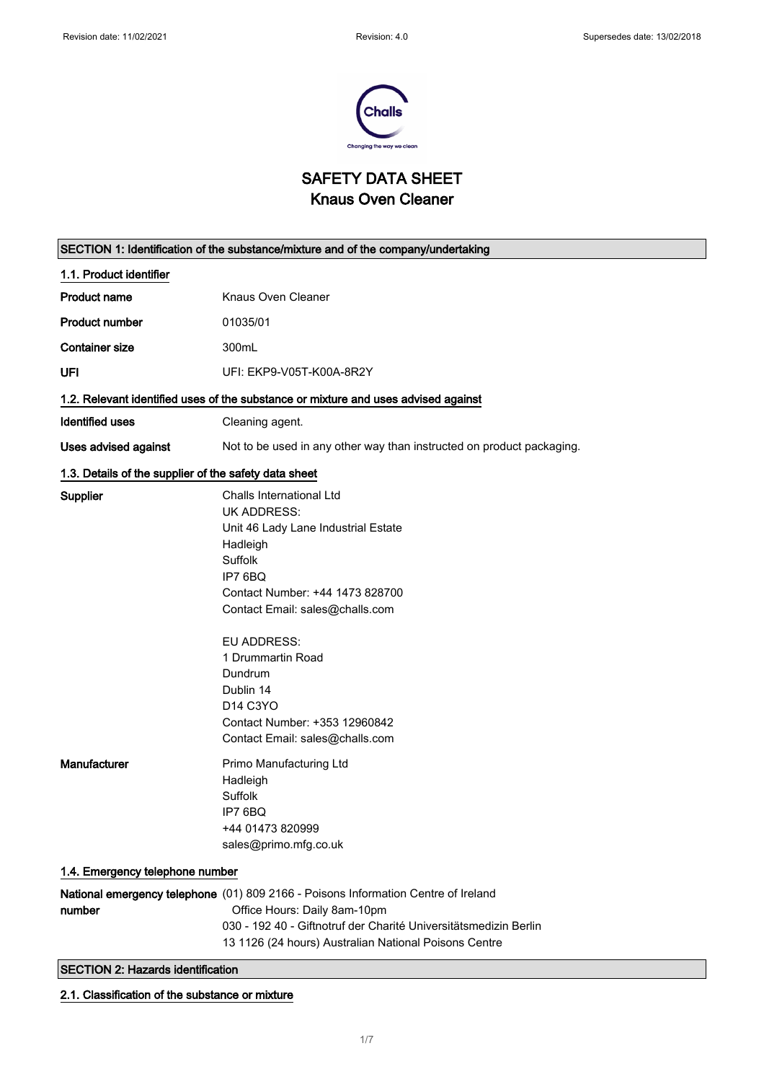

SAFETY DATA SHEET Knaus Oven Cleaner

| SECTION 1: Identification of the substance/mixture and of the company/undertaking  |                                                                                                                                                                                                                                                                                                                                           |  |
|------------------------------------------------------------------------------------|-------------------------------------------------------------------------------------------------------------------------------------------------------------------------------------------------------------------------------------------------------------------------------------------------------------------------------------------|--|
| 1.1. Product identifier                                                            |                                                                                                                                                                                                                                                                                                                                           |  |
| <b>Product name</b>                                                                | Knaus Oven Cleaner                                                                                                                                                                                                                                                                                                                        |  |
| <b>Product number</b>                                                              | 01035/01                                                                                                                                                                                                                                                                                                                                  |  |
| <b>Container size</b>                                                              | 300mL                                                                                                                                                                                                                                                                                                                                     |  |
| UFI                                                                                | UFI: EKP9-V05T-K00A-8R2Y                                                                                                                                                                                                                                                                                                                  |  |
| 1.2. Relevant identified uses of the substance or mixture and uses advised against |                                                                                                                                                                                                                                                                                                                                           |  |
| Identified uses                                                                    | Cleaning agent.                                                                                                                                                                                                                                                                                                                           |  |
| <b>Uses advised against</b>                                                        | Not to be used in any other way than instructed on product packaging.                                                                                                                                                                                                                                                                     |  |
| 1.3. Details of the supplier of the safety data sheet                              |                                                                                                                                                                                                                                                                                                                                           |  |
| Supplier                                                                           | Challs International Ltd<br><b>UK ADDRESS:</b><br>Unit 46 Lady Lane Industrial Estate<br>Hadleigh<br>Suffolk<br>IP7 6BQ<br>Contact Number: +44 1473 828700<br>Contact Email: sales@challs.com<br>EU ADDRESS:<br>1 Drummartin Road<br>Dundrum<br>Dublin 14<br>D14 C3YO<br>Contact Number: +353 12960842<br>Contact Email: sales@challs.com |  |
| Manufacturer                                                                       | Primo Manufacturing Ltd<br>Hadleigh<br>Suffolk<br>IP7 6BQ<br>+44 01473 820999<br>sales@primo.mfg.co.uk                                                                                                                                                                                                                                    |  |
|                                                                                    | 1.4. Emergency telephone number                                                                                                                                                                                                                                                                                                           |  |
| number                                                                             | National emergency telephone (01) 809 2166 - Poisons Information Centre of Ireland<br>Office Hours: Daily 8am-10pm<br>030 - 192 40 - Giftnotruf der Charité Universitätsmedizin Berlin<br>13 1126 (24 hours) Australian National Poisons Centre                                                                                           |  |
|                                                                                    | <b>SECTION 2: Hazards identification</b>                                                                                                                                                                                                                                                                                                  |  |

2.1. Classification of the substance or mixture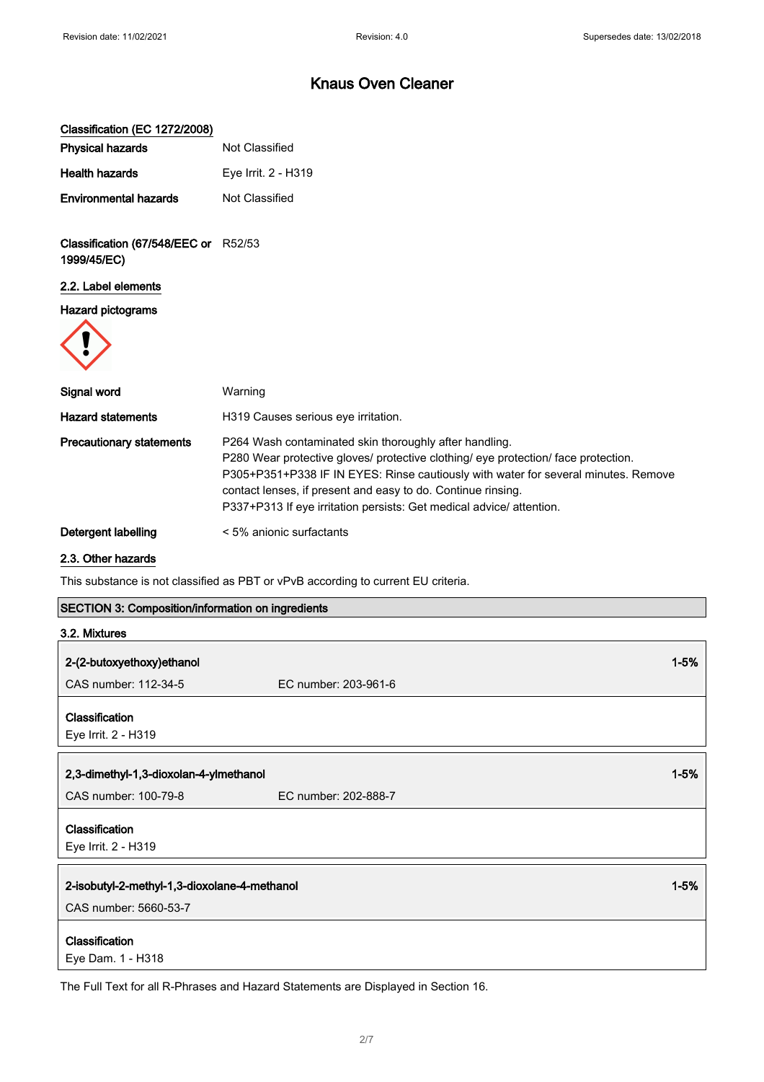| Classification (EC 1272/2008)                            |                                                                                                                                                                                                                                                                                                                                                                            |
|----------------------------------------------------------|----------------------------------------------------------------------------------------------------------------------------------------------------------------------------------------------------------------------------------------------------------------------------------------------------------------------------------------------------------------------------|
| <b>Physical hazards</b>                                  | Not Classified                                                                                                                                                                                                                                                                                                                                                             |
| <b>Health hazards</b>                                    | Eye Irrit. 2 - H319                                                                                                                                                                                                                                                                                                                                                        |
| <b>Environmental hazards</b>                             | Not Classified                                                                                                                                                                                                                                                                                                                                                             |
| Classification (67/548/EEC or R52/53<br>1999/45/EC)      |                                                                                                                                                                                                                                                                                                                                                                            |
| 2.2. Label elements                                      |                                                                                                                                                                                                                                                                                                                                                                            |
| <b>Hazard pictograms</b>                                 |                                                                                                                                                                                                                                                                                                                                                                            |
|                                                          |                                                                                                                                                                                                                                                                                                                                                                            |
| Signal word                                              | Warning                                                                                                                                                                                                                                                                                                                                                                    |
| <b>Hazard statements</b>                                 | H319 Causes serious eye irritation.                                                                                                                                                                                                                                                                                                                                        |
| <b>Precautionary statements</b>                          | P264 Wash contaminated skin thoroughly after handling.<br>P280 Wear protective gloves/ protective clothing/ eye protection/ face protection.<br>P305+P351+P338 IF IN EYES: Rinse cautiously with water for several minutes. Remove<br>contact lenses, if present and easy to do. Continue rinsing.<br>P337+P313 If eye irritation persists: Get medical advice/ attention. |
| Detergent labelling                                      | < 5% anionic surfactants                                                                                                                                                                                                                                                                                                                                                   |
| 2.3. Other hazards                                       |                                                                                                                                                                                                                                                                                                                                                                            |
|                                                          | This substance is not classified as PBT or vPvB according to current EU criteria.                                                                                                                                                                                                                                                                                          |
| <b>SECTION 3: Composition/information on ingredients</b> |                                                                                                                                                                                                                                                                                                                                                                            |

| 3.2. Mixtures                                |                      |          |
|----------------------------------------------|----------------------|----------|
| 2-(2-butoxyethoxy)ethanol                    |                      | $1 - 5%$ |
| CAS number: 112-34-5                         | EC number: 203-961-6 |          |
| <b>Classification</b><br>Eye Irrit. 2 - H319 |                      |          |
| 2,3-dimethyl-1,3-dioxolan-4-ylmethanol       |                      | $1 - 5%$ |
| CAS number: 100-79-8                         | EC number: 202-888-7 |          |
| Classification<br>Eye Irrit. 2 - H319        |                      |          |
| 2-isobutyl-2-methyl-1,3-dioxolane-4-methanol |                      | $1 - 5%$ |
| CAS number: 5660-53-7                        |                      |          |
| <b>Classification</b><br>Eye Dam. 1 - H318   |                      |          |

The Full Text for all R-Phrases and Hazard Statements are Displayed in Section 16.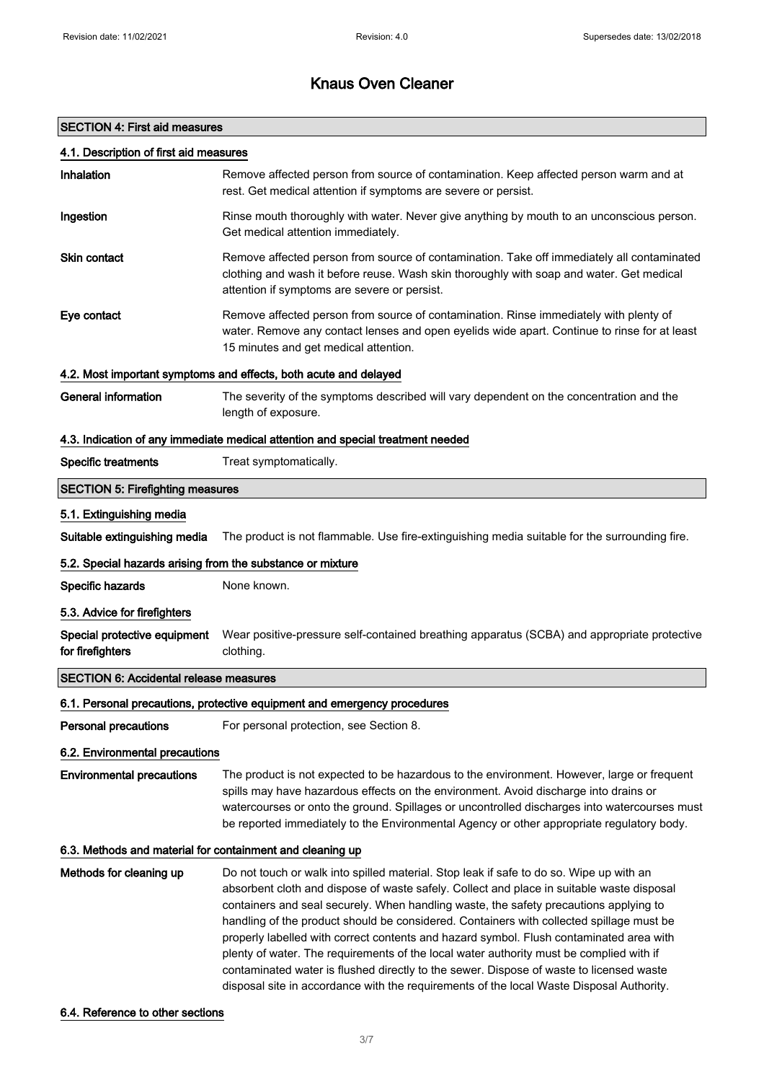### SECTION 4: First aid measures

| 4.1. Description of first aid measures                     |                                                                                                                                                                                                                                                                                                                                                                                                                                                                                                                                                                 |
|------------------------------------------------------------|-----------------------------------------------------------------------------------------------------------------------------------------------------------------------------------------------------------------------------------------------------------------------------------------------------------------------------------------------------------------------------------------------------------------------------------------------------------------------------------------------------------------------------------------------------------------|
| Inhalation                                                 | Remove affected person from source of contamination. Keep affected person warm and at<br>rest. Get medical attention if symptoms are severe or persist.                                                                                                                                                                                                                                                                                                                                                                                                         |
| Ingestion                                                  | Rinse mouth thoroughly with water. Never give anything by mouth to an unconscious person.<br>Get medical attention immediately.                                                                                                                                                                                                                                                                                                                                                                                                                                 |
| <b>Skin contact</b>                                        | Remove affected person from source of contamination. Take off immediately all contaminated<br>clothing and wash it before reuse. Wash skin thoroughly with soap and water. Get medical<br>attention if symptoms are severe or persist.                                                                                                                                                                                                                                                                                                                          |
| Eye contact                                                | Remove affected person from source of contamination. Rinse immediately with plenty of<br>water. Remove any contact lenses and open eyelids wide apart. Continue to rinse for at least<br>15 minutes and get medical attention.                                                                                                                                                                                                                                                                                                                                  |
|                                                            | 4.2. Most important symptoms and effects, both acute and delayed                                                                                                                                                                                                                                                                                                                                                                                                                                                                                                |
| <b>General information</b>                                 | The severity of the symptoms described will vary dependent on the concentration and the<br>length of exposure.                                                                                                                                                                                                                                                                                                                                                                                                                                                  |
|                                                            | 4.3. Indication of any immediate medical attention and special treatment needed                                                                                                                                                                                                                                                                                                                                                                                                                                                                                 |
| <b>Specific treatments</b>                                 | Treat symptomatically.                                                                                                                                                                                                                                                                                                                                                                                                                                                                                                                                          |
| <b>SECTION 5: Firefighting measures</b>                    |                                                                                                                                                                                                                                                                                                                                                                                                                                                                                                                                                                 |
| 5.1. Extinguishing media                                   |                                                                                                                                                                                                                                                                                                                                                                                                                                                                                                                                                                 |
| Suitable extinguishing media                               | The product is not flammable. Use fire-extinguishing media suitable for the surrounding fire.                                                                                                                                                                                                                                                                                                                                                                                                                                                                   |
| 5.2. Special hazards arising from the substance or mixture |                                                                                                                                                                                                                                                                                                                                                                                                                                                                                                                                                                 |
| Specific hazards                                           | None known.                                                                                                                                                                                                                                                                                                                                                                                                                                                                                                                                                     |
| 5.3. Advice for firefighters                               |                                                                                                                                                                                                                                                                                                                                                                                                                                                                                                                                                                 |
| Special protective equipment<br>for firefighters           | Wear positive-pressure self-contained breathing apparatus (SCBA) and appropriate protective<br>clothing.                                                                                                                                                                                                                                                                                                                                                                                                                                                        |
| <b>SECTION 6: Accidental release measures</b>              |                                                                                                                                                                                                                                                                                                                                                                                                                                                                                                                                                                 |
|                                                            | 6.1. Personal precautions, protective equipment and emergency procedures                                                                                                                                                                                                                                                                                                                                                                                                                                                                                        |
| <b>Personal precautions</b>                                | For personal protection, see Section 8.                                                                                                                                                                                                                                                                                                                                                                                                                                                                                                                         |
| 6.2. Environmental precautions                             |                                                                                                                                                                                                                                                                                                                                                                                                                                                                                                                                                                 |
| <b>Environmental precautions</b>                           | The product is not expected to be hazardous to the environment. However, large or frequent<br>spills may have hazardous effects on the environment. Avoid discharge into drains or<br>watercourses or onto the ground. Spillages or uncontrolled discharges into watercourses must<br>be reported immediately to the Environmental Agency or other appropriate regulatory body.                                                                                                                                                                                 |
| 6.3. Methods and material for containment and cleaning up  |                                                                                                                                                                                                                                                                                                                                                                                                                                                                                                                                                                 |
| Methods for cleaning up                                    | Do not touch or walk into spilled material. Stop leak if safe to do so. Wipe up with an<br>absorbent cloth and dispose of waste safely. Collect and place in suitable waste disposal<br>containers and seal securely. When handling waste, the safety precautions applying to<br>handling of the product should be considered. Containers with collected spillage must be<br>properly labelled with correct contents and hazard symbol. Flush contaminated area with<br>plenty of water. The requirements of the local water authority must be complied with if |

6.4. Reference to other sections

contaminated water is flushed directly to the sewer. Dispose of waste to licensed waste disposal site in accordance with the requirements of the local Waste Disposal Authority.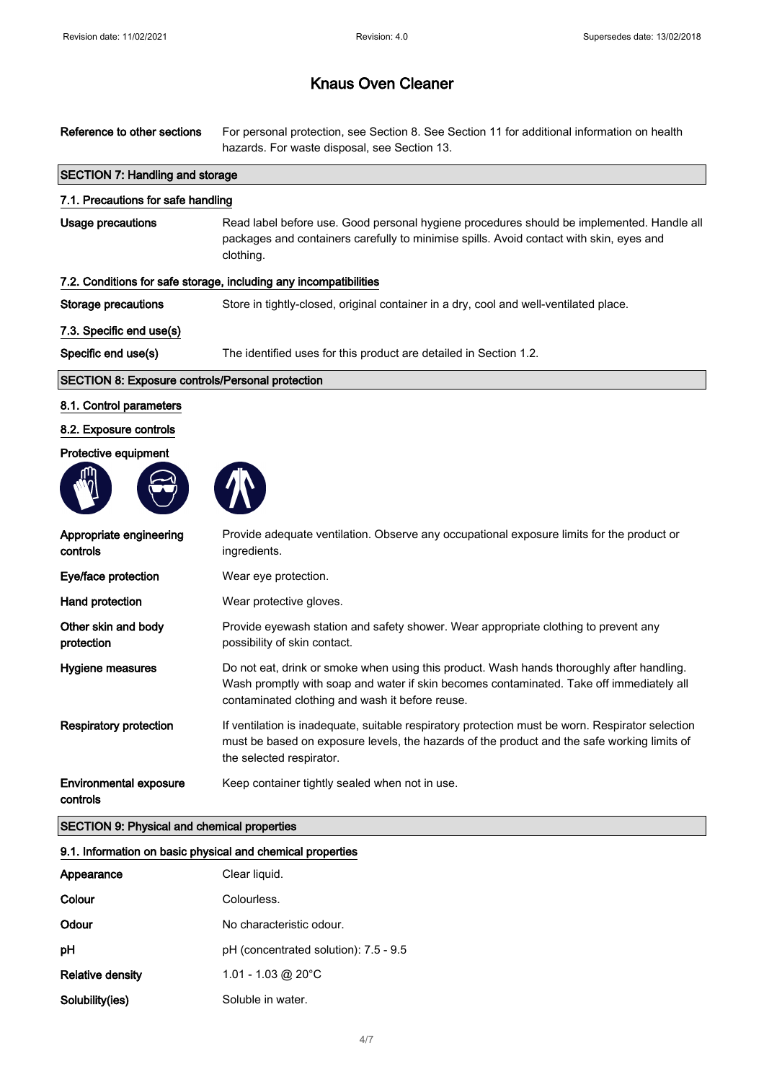| Reference to other sections                                | For personal protection, see Section 8. See Section 11 for additional information on health<br>hazards. For waste disposal, see Section 13.                                                                                              |  |
|------------------------------------------------------------|------------------------------------------------------------------------------------------------------------------------------------------------------------------------------------------------------------------------------------------|--|
| <b>SECTION 7: Handling and storage</b>                     |                                                                                                                                                                                                                                          |  |
| 7.1. Precautions for safe handling                         |                                                                                                                                                                                                                                          |  |
| Usage precautions                                          | Read label before use. Good personal hygiene procedures should be implemented. Handle all<br>packages and containers carefully to minimise spills. Avoid contact with skin, eyes and<br>clothing.                                        |  |
|                                                            | 7.2. Conditions for safe storage, including any incompatibilities                                                                                                                                                                        |  |
| <b>Storage precautions</b>                                 | Store in tightly-closed, original container in a dry, cool and well-ventilated place.                                                                                                                                                    |  |
| 7.3. Specific end use(s)                                   |                                                                                                                                                                                                                                          |  |
| Specific end use(s)                                        | The identified uses for this product are detailed in Section 1.2.                                                                                                                                                                        |  |
| <b>SECTION 8: Exposure controls/Personal protection</b>    |                                                                                                                                                                                                                                          |  |
| 8.1. Control parameters                                    |                                                                                                                                                                                                                                          |  |
| 8.2. Exposure controls                                     |                                                                                                                                                                                                                                          |  |
| Protective equipment                                       |                                                                                                                                                                                                                                          |  |
|                                                            |                                                                                                                                                                                                                                          |  |
| Appropriate engineering<br>controls                        | Provide adequate ventilation. Observe any occupational exposure limits for the product or<br>ingredients.                                                                                                                                |  |
| Eye/face protection                                        | Wear eye protection.                                                                                                                                                                                                                     |  |
| Hand protection                                            | Wear protective gloves.                                                                                                                                                                                                                  |  |
| Other skin and body<br>protection                          | Provide eyewash station and safety shower. Wear appropriate clothing to prevent any<br>possibility of skin contact.                                                                                                                      |  |
| Hygiene measures                                           | Do not eat, drink or smoke when using this product. Wash hands thoroughly after handling.<br>Wash promptly with soap and water if skin becomes contaminated. Take off immediately all<br>contaminated clothing and wash it before reuse. |  |
| <b>Respiratory protection</b>                              | If ventilation is inadequate, suitable respiratory protection must be worn. Respirator selection<br>must be based on exposure levels, the hazards of the product and the safe working limits of<br>the selected respirator.              |  |
| <b>Environmental exposure</b><br>controls                  | Keep container tightly sealed when not in use.                                                                                                                                                                                           |  |
| <b>SECTION 9: Physical and chemical properties</b>         |                                                                                                                                                                                                                                          |  |
| 9.1. Information on basic physical and chemical properties |                                                                                                                                                                                                                                          |  |
| Appearance                                                 | Clear liquid.                                                                                                                                                                                                                            |  |
| Colour                                                     | Colourless.                                                                                                                                                                                                                              |  |
| Odour                                                      | No characteristic odour.                                                                                                                                                                                                                 |  |
| pH                                                         | pH (concentrated solution): 7.5 - 9.5                                                                                                                                                                                                    |  |

| Relative density | 1.01 - 1.03 @ 20 $^{\circ}$ C |
|------------------|-------------------------------|
| Solubility(ies)  | Soluble in water.             |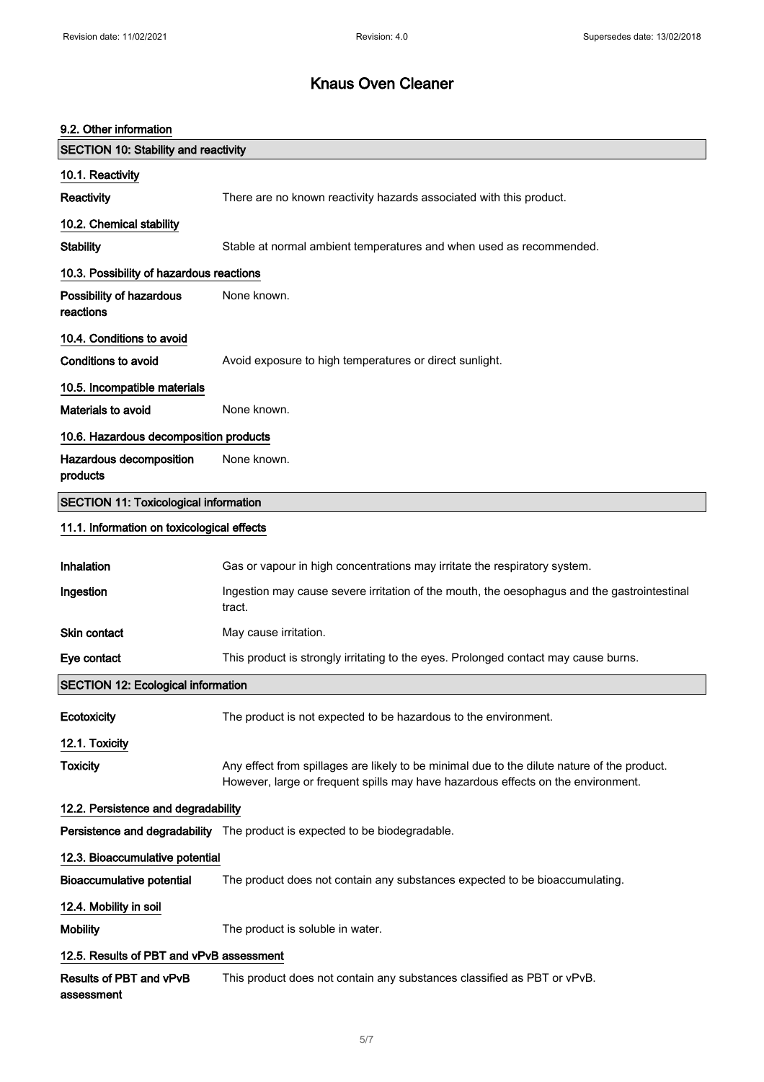#### 9.2. Other information

| <b>SECTION 10: Stability and reactivity</b>  |                                                                                                                                                                                 |  |
|----------------------------------------------|---------------------------------------------------------------------------------------------------------------------------------------------------------------------------------|--|
| 10.1. Reactivity                             |                                                                                                                                                                                 |  |
| Reactivity                                   | There are no known reactivity hazards associated with this product.                                                                                                             |  |
| 10.2. Chemical stability                     |                                                                                                                                                                                 |  |
| <b>Stability</b>                             | Stable at normal ambient temperatures and when used as recommended.                                                                                                             |  |
| 10.3. Possibility of hazardous reactions     |                                                                                                                                                                                 |  |
| Possibility of hazardous<br>reactions        | None known.                                                                                                                                                                     |  |
| 10.4. Conditions to avoid                    |                                                                                                                                                                                 |  |
| <b>Conditions to avoid</b>                   | Avoid exposure to high temperatures or direct sunlight.                                                                                                                         |  |
| 10.5. Incompatible materials                 |                                                                                                                                                                                 |  |
| <b>Materials to avoid</b>                    | None known.                                                                                                                                                                     |  |
| 10.6. Hazardous decomposition products       |                                                                                                                                                                                 |  |
| Hazardous decomposition<br>products          | None known.                                                                                                                                                                     |  |
| <b>SECTION 11: Toxicological information</b> |                                                                                                                                                                                 |  |
| 11.1. Information on toxicological effects   |                                                                                                                                                                                 |  |
| Inhalation                                   | Gas or vapour in high concentrations may irritate the respiratory system.                                                                                                       |  |
| Ingestion                                    | Ingestion may cause severe irritation of the mouth, the oesophagus and the gastrointestinal<br>tract.                                                                           |  |
| <b>Skin contact</b>                          | May cause irritation.                                                                                                                                                           |  |
| Eye contact                                  | This product is strongly irritating to the eyes. Prolonged contact may cause burns.                                                                                             |  |
| <b>SECTION 12: Ecological information</b>    |                                                                                                                                                                                 |  |
| Ecotoxicity                                  | The product is not expected to be hazardous to the environment.                                                                                                                 |  |
| 12.1. Toxicity                               |                                                                                                                                                                                 |  |
| <b>Toxicity</b>                              | Any effect from spillages are likely to be minimal due to the dilute nature of the product.<br>However, large or frequent spills may have hazardous effects on the environment. |  |
| 12.2. Persistence and degradability          |                                                                                                                                                                                 |  |
|                                              | Persistence and degradability The product is expected to be biodegradable.                                                                                                      |  |
| 12.3. Bioaccumulative potential              |                                                                                                                                                                                 |  |
| <b>Bioaccumulative potential</b>             | The product does not contain any substances expected to be bioaccumulating.                                                                                                     |  |
| 12.4. Mobility in soil                       |                                                                                                                                                                                 |  |
| <b>Mobility</b>                              | The product is soluble in water.                                                                                                                                                |  |
| 12.5. Results of PBT and vPvB assessment     |                                                                                                                                                                                 |  |
| Results of PBT and vPvB<br>assessment        | This product does not contain any substances classified as PBT or vPvB.                                                                                                         |  |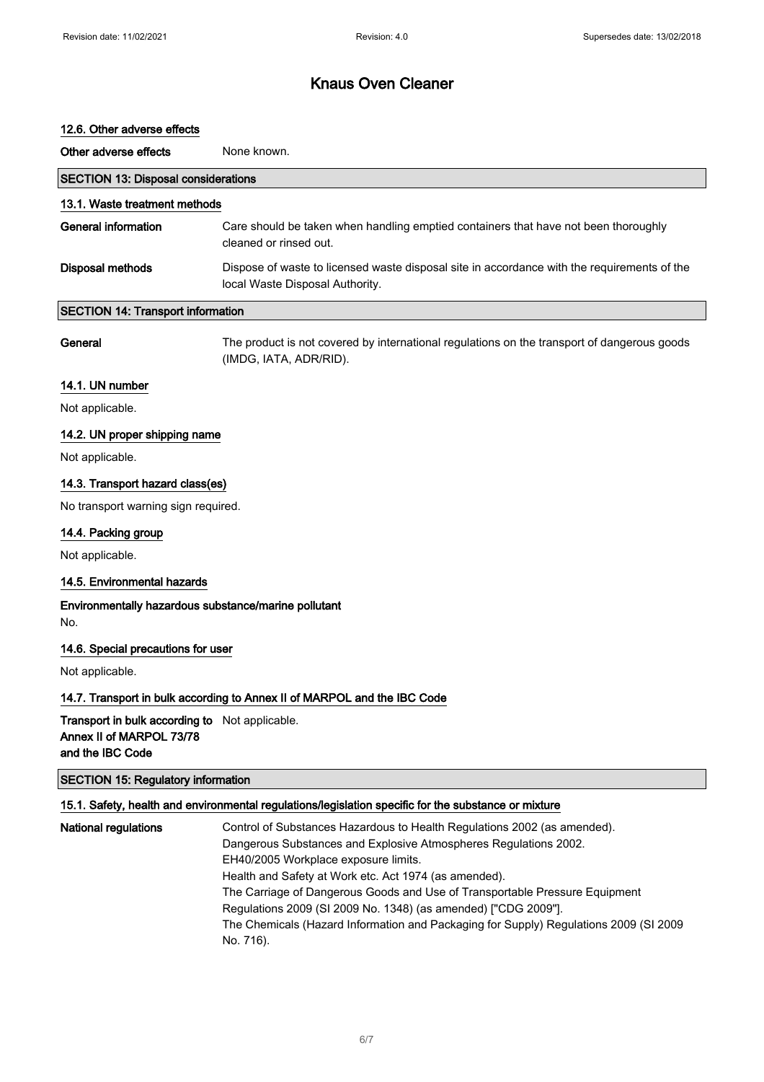#### 12.6. Other adverse effects

| Other adverse effects                      | None known.                                                                                                                    |
|--------------------------------------------|--------------------------------------------------------------------------------------------------------------------------------|
| <b>SECTION 13: Disposal considerations</b> |                                                                                                                                |
| 13.1. Waste treatment methods              |                                                                                                                                |
| General information                        | Care should be taken when handling emptied containers that have not been thoroughly<br>cleaned or rinsed out.                  |
| Disposal methods                           | Dispose of waste to licensed waste disposal site in accordance with the requirements of the<br>local Waste Disposal Authority. |
| <b>SECTION 14: Transport information</b>   |                                                                                                                                |

General The product is not covered by international regulations on the transport of dangerous goods (IMDG, IATA, ADR/RID).

#### 14.1. UN number

Not applicable.

#### 14.2. UN proper shipping name

Not applicable.

### 14.3. Transport hazard class(es)

No transport warning sign required.

#### 14.4. Packing group

Not applicable.

#### 14.5. Environmental hazards

Environmentally hazardous substance/marine pollutant No.

#### 14.6. Special precautions for user

Not applicable.

### 14.7. Transport in bulk according to Annex II of MARPOL and the IBC Code

Transport in bulk according to Not applicable. Annex II of MARPOL 73/78 and the IBC Code

### SECTION 15: Regulatory information

#### 15.1. Safety, health and environmental regulations/legislation specific for the substance or mixture

| <b>National regulations</b> | Control of Substances Hazardous to Health Regulations 2002 (as amended).              |
|-----------------------------|---------------------------------------------------------------------------------------|
|                             | Dangerous Substances and Explosive Atmospheres Regulations 2002.                      |
|                             | EH40/2005 Workplace exposure limits.                                                  |
|                             | Health and Safety at Work etc. Act 1974 (as amended).                                 |
|                             | The Carriage of Dangerous Goods and Use of Transportable Pressure Equipment           |
|                             | Regulations 2009 (SI 2009 No. 1348) (as amended) ["CDG 2009"].                        |
|                             | The Chemicals (Hazard Information and Packaging for Supply) Regulations 2009 (SI 2009 |
|                             | No. 716).                                                                             |